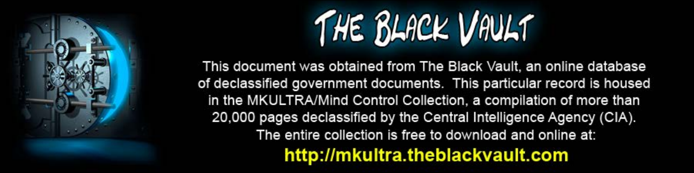

This document was obtained from The Black Vault, an online database of declassified government documents. This particular record is housed in the MKULTRA/Mind Control Collection, a compilation of more than 20,000 pages declassified by the Central Intelligence Agency (CIA). The entire collection is free to download and online at: http://mkultra.theblackvault.com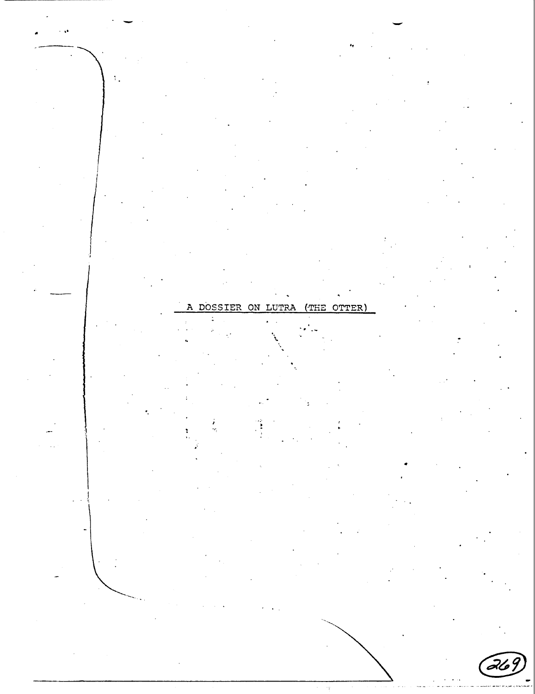ON  $T.T$ ב כודי ιт

OTTER)

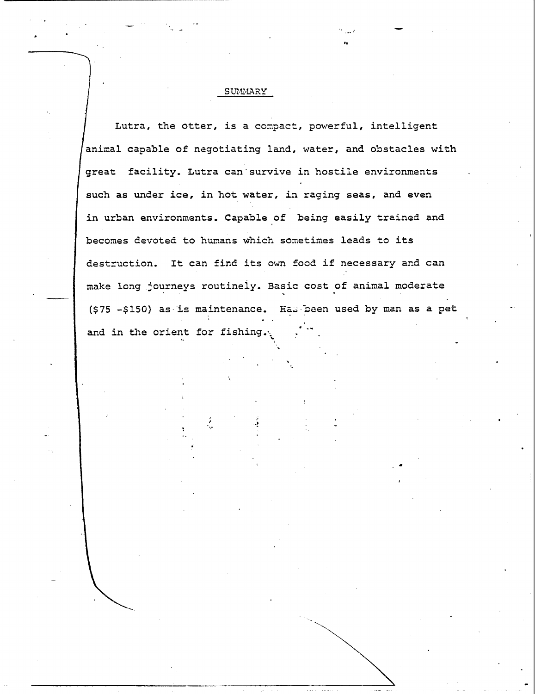### SUMMARY

••

•

Lutra, the otter, is a compact, powerful, intelligent animal capable of negotiating land, water, and obstacles with great facility. Lutra can·survive in hostile environments such as under ice, in hot water, in raging seas, and even in urban environments. Capable of being easily trained and becomes devoted to humans which sometimes leads to its destruction. It can find its own food if necessary and can make long journeys routineiy. Basic cost of animal moderate  $(575 - 5150)$  as is maintenance. Has been used by man as a pet and in the orient for fishing.  $\cdot$  .

..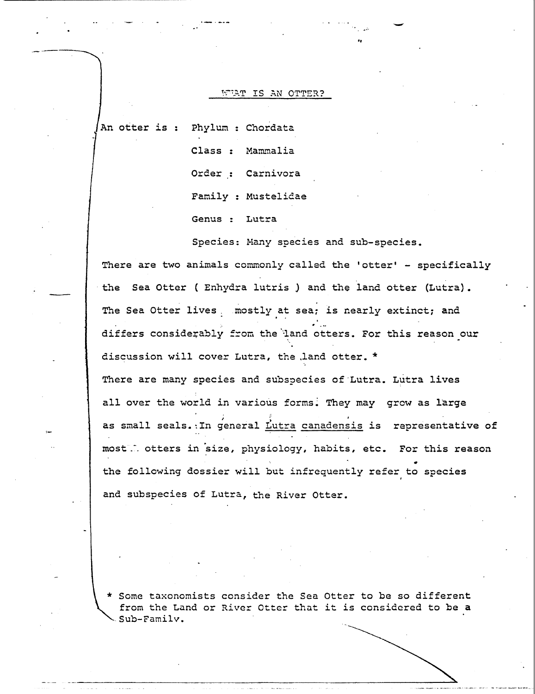#### WERT IS AN OTTER?

An otter is : Phylum : Chordata

Class : Mammalia Order : Carnivora Family : Mustelidae

Genus : Lutra

Species: Hany species and sub-species.

·- ..

There are two animals commonly called the 'otter' - specifically the Sea Otter ( Enhydra lutris) and the land otter (Lutra). The Sea Otter lives . mostly at sea; is nearly extinct; and .,<br>.'... differs considerably from the land otters. For this reason our discussion will cover Lutra, the .land otter. \* There are many species and subspecies of Lutra. Lutra lives all over the world in various forms. They may grow as large ; in the contract of the contract of the contract of the contract of the contract of the contract of the contract of the contract of the contract of the contract of the contract of the contract of the contract of the cont as small seals. In general Lutra canadensis is representative of most. otters in size, physiology, habits, etc. For this reason the following dossier will but infrequently refer to species and subspecies of Lutra, the River Otter.

\* Some taxonomists consider the Sea Otter to be so different from the Land or River Otter that it is considered to be a  $Sub-Family.$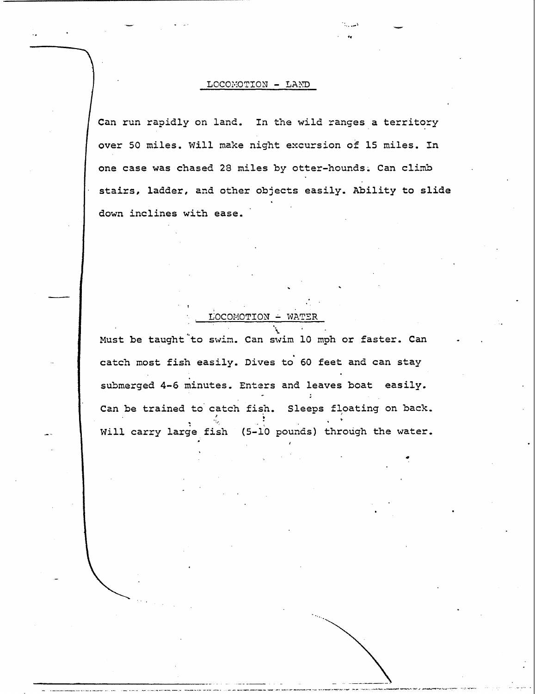#### LOCOMOTION - LAND

Can run rapidly on land. In the wild ranges a territory over 50 miles. Will make night excursion of 15 miles. In one case was chased 28 miles by otter-hounds. Can climb stairs, ladder, and other objects easily. Ability to slide down inclines with ease.

# Must be taught to swim. Can swim 10 mph or faster. Can catch most fish easily. Dives to 60 feet and can stay submerged 4-6 minutes. Enters and leaves boat easily.

LOCOMOTION - WATER

Can be trained to catch fish. Sleeps floating on back. Will carry large fish (5-10 pounds) through the water.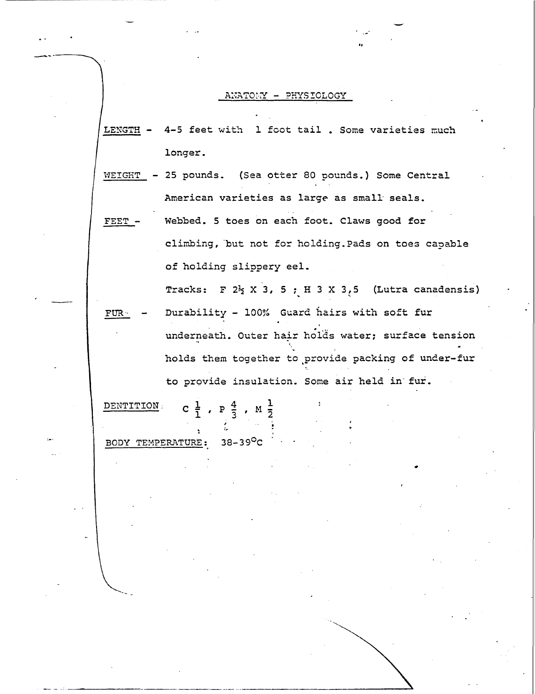#### ANATOMY - PHYSIOLOGY

LENGTH -4-5 feet with 1 foot tail. Some varieties much longer.

25 pounds. (Sea otter 80 pounds.) Some Central WEIGHT American varieties as large as small seals.

Webbed. 5 toes on each foot. Claws good for FEET climbing, but not for holding. Pads on toes capable of holding slippery eel.

Tracks: F  $2\frac{1}{2}$  X 3, 5 ; H 3 X 3, 5 (Lutra canadensis)

Durability - 100% Guard hairs with soft fur FUR : underneath. Outer hair holds water; surface tension holds them together to provide packing of under-fur to provide insulation. Some air held in fur.

C  $\frac{1}{1}$ ,  $P \frac{4}{3}$ ,  $M \frac{1}{2}$ DENTITION 38-39<sup>0</sup>C

BODY TEMPERATURE: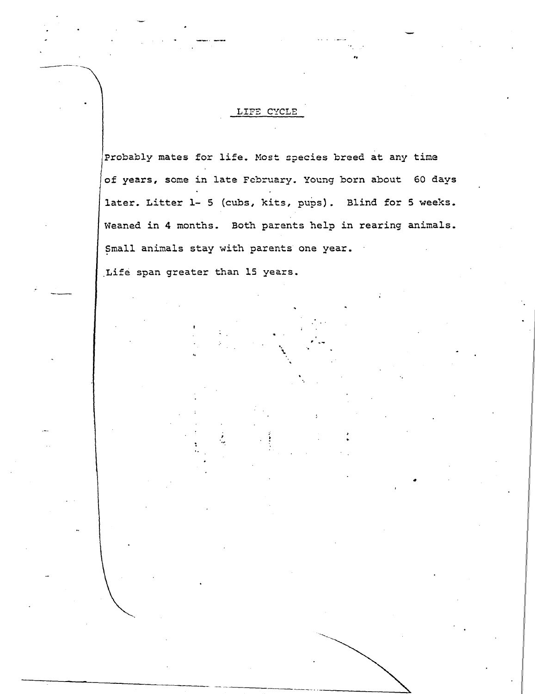## LIFE CYCLE

Probably mates for life. Most species breed at any time of years, some in late February. Young born about 60 days later. Litter 1- 5 (cubs, kits, pups). Blind for 5 weeks. Weaned in 4 months. Both parents help in rearing animals. Small animals stay with parents one year.

. -~ •.

•

\.

Life span greater than 15 years.

.. -------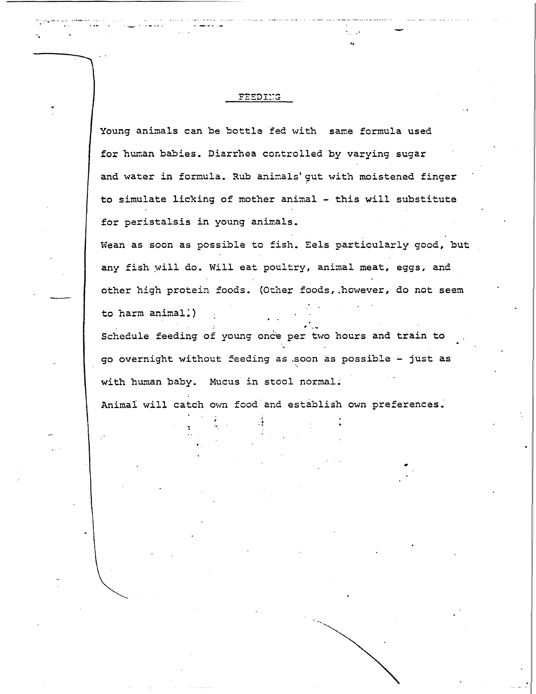#### FEEDING

·.

Young animals can be bottle fed with same formula used for human babies. Diarrhea controlled by varying sugar and water in formula. Rub animals' gut with moistened finger to simulate licking of mother animal - this will substitute for peristalsis in young animals.

••

•

Wean as soon as possible to fish. Eels particularly good, but any fish will do. Will eat poultry, animal meat, eggs, and other high protein foods. (Other foods, however, do not seem to harm animal.)

Schedule feeding of young once per two hours and train to go overnight without feeding as soon as possible - just as with human baby. Mucus in stool normal. Animal will catch own food and establish own preferences.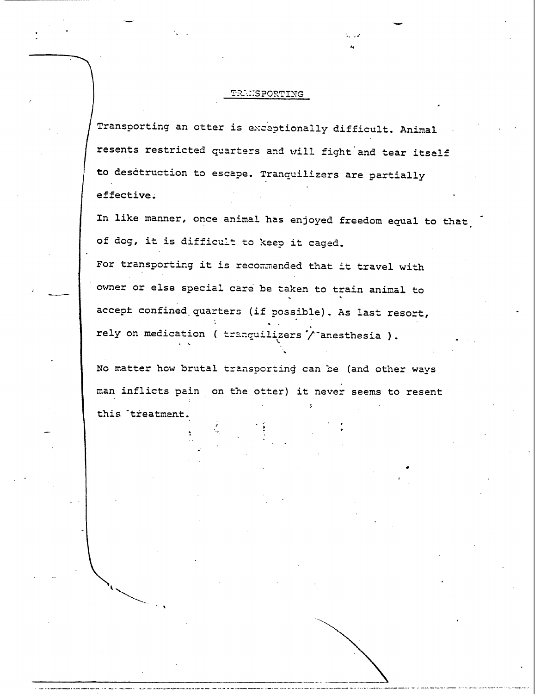### *PRANSPORTING*

·-

•

Transporting an otter is exceptionally difficult. Animal resents restricted quarters and will fight and tear itself to desctruction to escape. Tranquilizers are partially effective.

In like manner, once animal has enjoyed freedom equal to that of dog, it is difficult to keep it caged.

For transporting it is recommended that it travel with owner or else special care be taken to train animal to accept confined quarters (if possible). As last resort, rely on medication ( tranguilizers  $\prime$  anesthesia ).

No matter how brutal transporting can be (and other ways man inflicts pain on the otter} it never seems to resent this treatment.

 $\ddot{\phantom{0}}$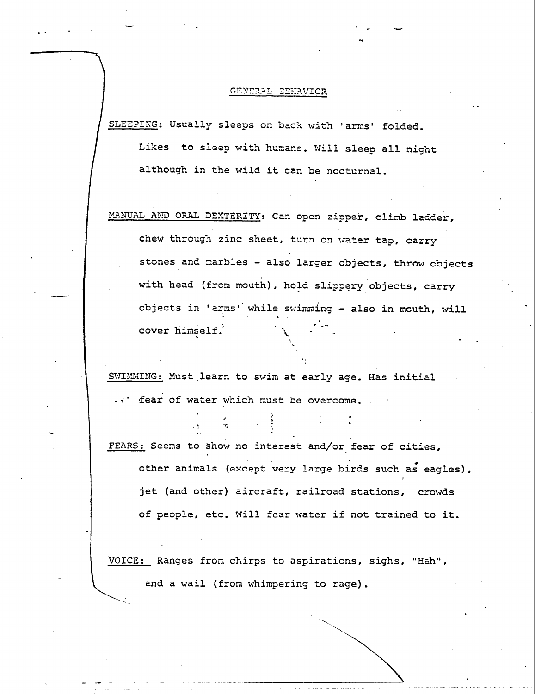#### GENERAL BEHAVIOR

..

SLEEPING: Usually sleeps on back with 'arms' folded. Likes to sleep with humans. Will sleep all night although in the wild it can be nocturnal.

MANUAL AND ORAL DEXTERITY: Can open zipper, climb ladder, chew through zinc sheet, turn on water tap, carry stones and marbles - also larger objects, throw objects with head (from mouth), hold slippery objects, carry objects in 'arms' while swimming - also in mouth, will cover himself.·

..

SWIMMING: Must learn to swim at early age. Has initial fear of water which must be overcome.

FEARS: Seems to show no interest and/or fear of cities, other animals (except very large birds such as eagles), jet (and other) aircraft, railroad stations, crowds of people, etc. Will fear water if not trained to it.

VOICE: Ranges from chirps to aspirations, sighs, "Hah", and a wail (from whimpering to rage).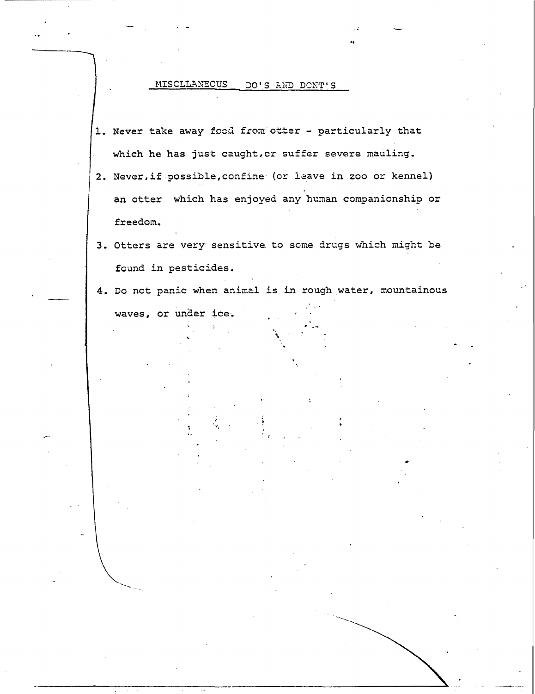#### MISCLLANEOUS DO'S AND DONT'S

- 1. Never take away food from otter particularly that which he has just caught, or suffer severe mauling.
- 2. Never, if possible, confine (or leave in zoo or kennel) an otter which has enjoyed any human companionship or freedom.
- 3. Otters are very sensitive to some drugs which might be found in pesticides.
- 4. Do not panic when animal is in rough water, mountainous waves, or under ice.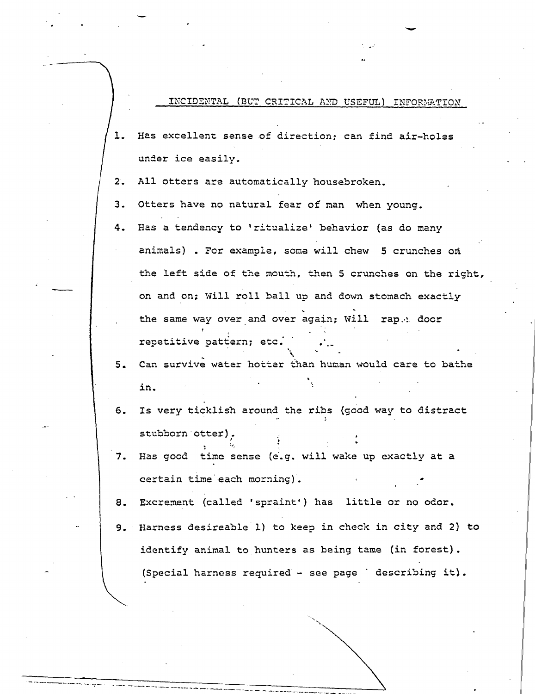INCIDENTAL (BUT CRITICAL AND USEFUL) INFORMATION

-

- 1. Has excellent sense of direction; can find air-holes under ice easily.
- 2. All otters are automatically housebroken.
- 3. Otters have no natural fear *of* man when young.
- 4. Has a tendency to 'ritualize' behavior (as do many animals) • For example, some will chew 5 crunches on the left side of the mouth, then 5 crunches on the right, on and on: Will roll ball up and down stomach exactly the same way over and over again; Will rap.<sup>1</sup> door repetitive pattern; etc. . --
- 5. Can survive water hotter than human would care to bathe in.
- 6. Is very ticklish around the ribs {good way to distract stubborn otter).
- 7. Has good time sense (e.g. will wake up exactly at a certain time'each morning).

 $\mathcal{L}_\mathrm{c}$  .

--... \_\_\_\_\_\_\_\_\_\_ ---·----· ---==---=---=-=-\_::-::\_-=: \_\_-:-:- \_\_ -\_ ~--·~-~-

8. Excrement (called 'spraint') has little or no odor.

~- ---.. ~. -------~

9. Harness desireable 1) to keep in check in city and 2) to identify animal to hunters as being tame (in forest). (Special harness required - see page  $\blacksquare$  describing it).

 $\overline{\phantom{a}}$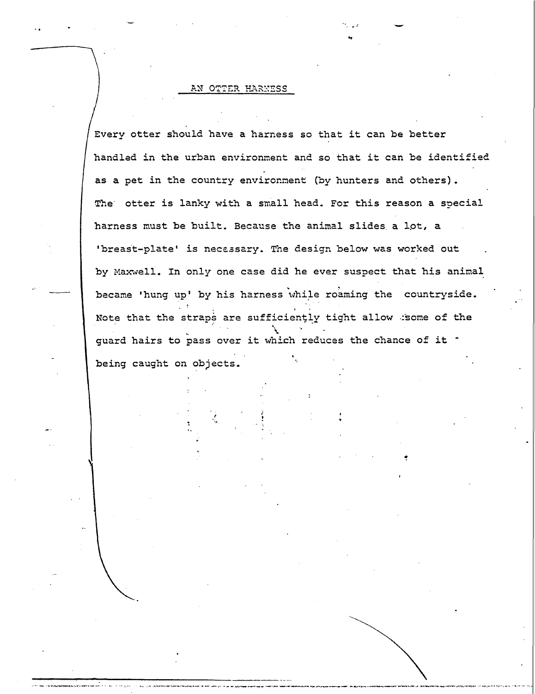#### AN OTTER HARNESS

 $\mathbf{S} = \begin{bmatrix} \mathbf{S} & \mathbf{S} \\ \mathbf{S} & \mathbf{S} \end{bmatrix}$ 

Every otter should have a harness so that it can be better handled in the urban environment and so that it can be identified as a pet in the country environment (by hunters and others). The otter is lanky with a small head. For this reason a special harness must be built. Because the animal slides. a lot, a 'breast-plate' is necessary. The design below was worked out by Maxwell. In only one case did he ever suspect that his animal became 'hung up' by his harness while roaming the countryside. Note that the straps are sufficiently tight allow . some of the guard hairs to pass over it which reduces the chance of it <sup>-</sup> being caught on objects.

..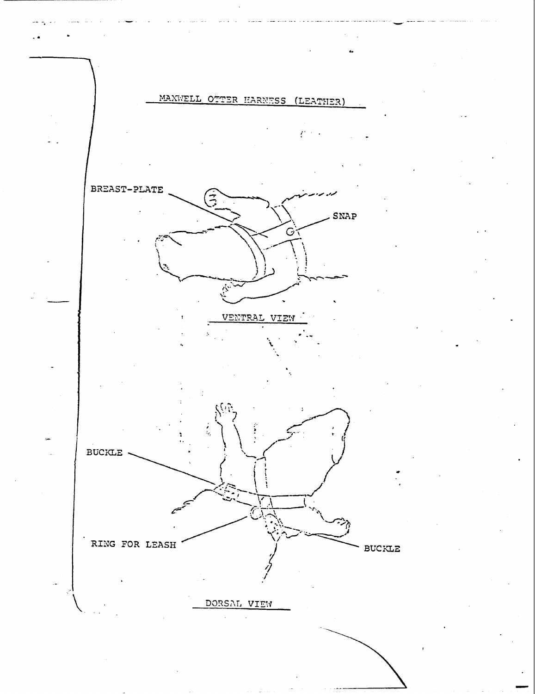